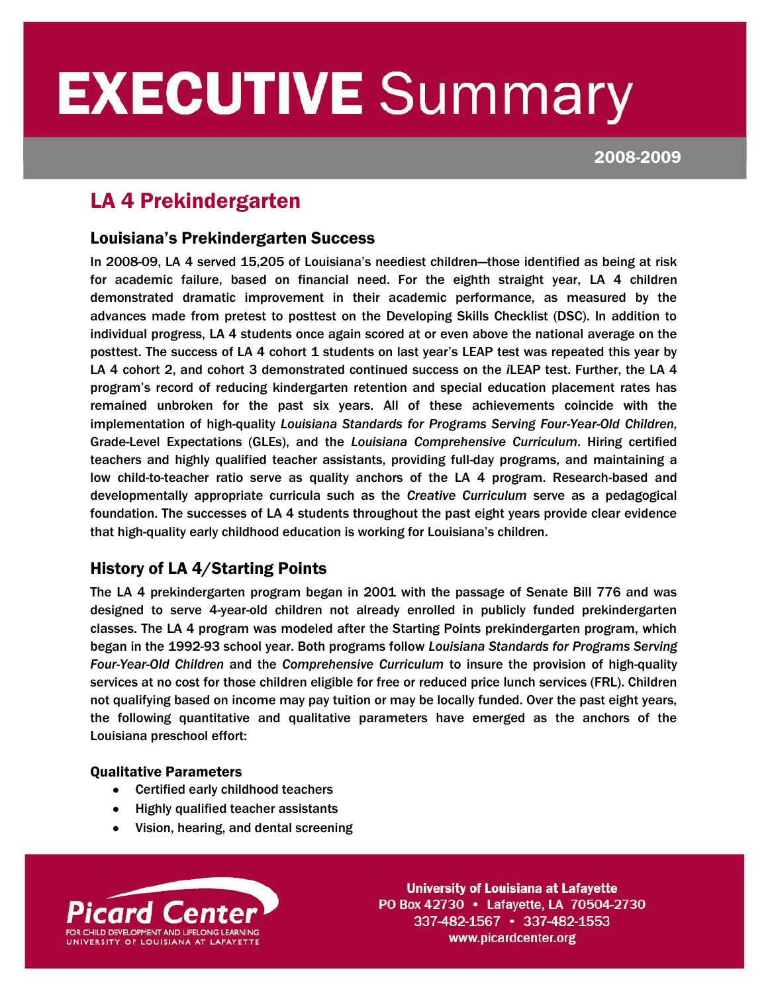# **EXECUTIVE Summary** í

2008-2009

## LA 4 Prekindergarten

I

## Louisiana's Prekindergarten Success

In 2008-09, LA 4 served 15,205 of Louisiana's neediest children—those identified as being at risk for academic failure, based on financial need. For the eighth straight year, LA 4 children demonstrated dramatic improvement in their academic performance, as measured by the advances made from pretest to posttest on the Developing Skills Checklist (DSC). In addition to individual progress, LA 4 students once again scored at or even above the national average on the posttest. The success of LA 4 cohort 1 students on last year's LEAP test was repeated this year by LA 4 cohort 2, and cohort 3 demonstrated continued success on the *i*LEAP test. Further, the LA 4 program's record of reducing kindergarten retention and special education placement rates has remained unbroken for the past six years. All of these achievements coincide with the implementation of high-quality *Louisiana Standards for Programs Serving Four-Year-Old Children,*  Grade-Level Expectations (GLEs), and the *Louisiana Comprehensive Curriculum*. Hiring certified teachers and highly qualified teacher assistants, providing full-day programs, and maintaining a low child-to-teacher ratio serve as quality anchors of the LA 4 program. Research-based and developmentally appropriate curricula such as the *Creative Curriculum* serve as a pedagogical foundation. The successes of LA 4 students throughout the past eight years provide clear evidence that high-quality early childhood education is working for Louisiana's children.

## History of LA 4/Starting Points

The LA 4 prekindergarten program began in 2001 with the passage of Senate Bill 776 and was designed to serve 4-year-old children not already enrolled in publicly funded prekindergarten classes. The LA 4 program was modeled after the Starting Points prekindergarten program, which began in the 1992-93 school year. Both programs follow *Louisiana Standards for Programs Serving Four-Year-Old Children* and the *Comprehensive Curriculum* to insure the provision of high-quality services at no cost for those children eligible for free or reduced price lunch services (FRL). Children not qualifying based on income may pay tuition or may be locally funded. Over the past eight years, the following quantitative and qualitative parameters have emerged as the anchors of the Louisiana preschool effort:

#### Qualitative Parameters

- Certified early childhood teachers
- Highly qualified teacher assistants
- Vision, hearing, and dental screening



**University of Louisiana at Lafayette** PO Box 42730 • Lafayette, LA 70504-2730 337-482-1567 • 337-482-1553 www.picardcenter.org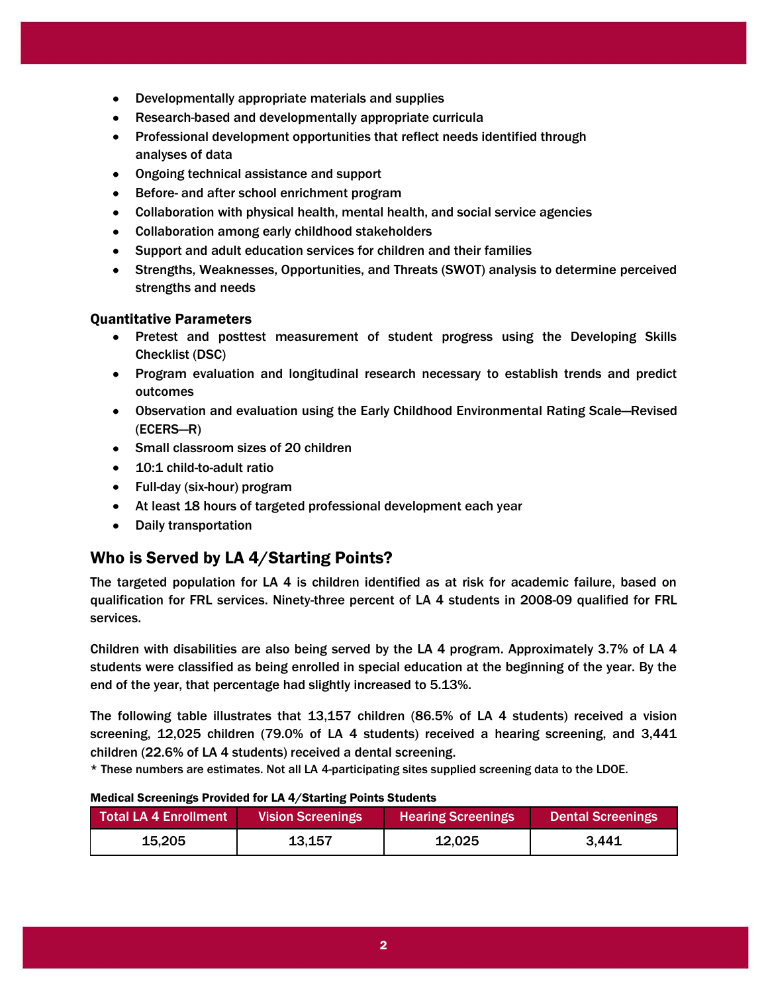- Developmentally appropriate materials and supplies
- Research-based and developmentally appropriate curricula
- Professional development opportunities that reflect needs identified through analyses of data
- Ongoing technical assistance and support
- Before- and after school enrichment program
- Collaboration with physical health, mental health, and social service agencies
- Collaboration among early childhood stakeholders
- Support and adult education services for children and their families
- Strengths, Weaknesses, Opportunities, and Threats (SWOT) analysis to determine perceived strengths and needs

#### Quantitative Parameters

- Pretest and posttest measurement of student progress using the Developing Skills Checklist (DSC)
- Program evaluation and longitudinal research necessary to establish trends and predict outcomes
- Observation and evaluation using the Early Childhood Environmental Rating Scale—Revised (ECERS—R)
- Small classroom sizes of 20 children
- 10:1 child-to-adult ratio
- Full-day (six-hour) program
- At least 18 hours of targeted professional development each year
- Daily transportation  $\bullet$

## Who is Served by LA 4/Starting Points?

The targeted population for LA 4 is children identified as at risk for academic failure, based on qualification for FRL services. Ninety-three percent of LA 4 students in 2008-09 qualified for FRL services.

Children with disabilities are also being served by the LA 4 program. Approximately 3.7% of LA 4 students were classified as being enrolled in special education at the beginning of the year. By the end of the year, that percentage had slightly increased to 5.13%.

The following table illustrates that 13,157 children (86.5% of LA 4 students) received a vision screening, 12,025 children (79.0% of LA 4 students) received a hearing screening, and 3,441 children (22.6% of LA 4 students) received a dental screening.

\* These numbers are estimates. Not all LA 4-participating sites supplied screening data to the LDOE.

#### Medical Screenings Provided for LA 4/Starting Points Students

| <b>Total LA 4 Enrollment</b> | <b>Vision Screenings</b> | <b>Hearing Screenings</b> | <b>Dental Screenings</b> |
|------------------------------|--------------------------|---------------------------|--------------------------|
| 15,205                       | 13,157                   | 12,025                    | 3.441                    |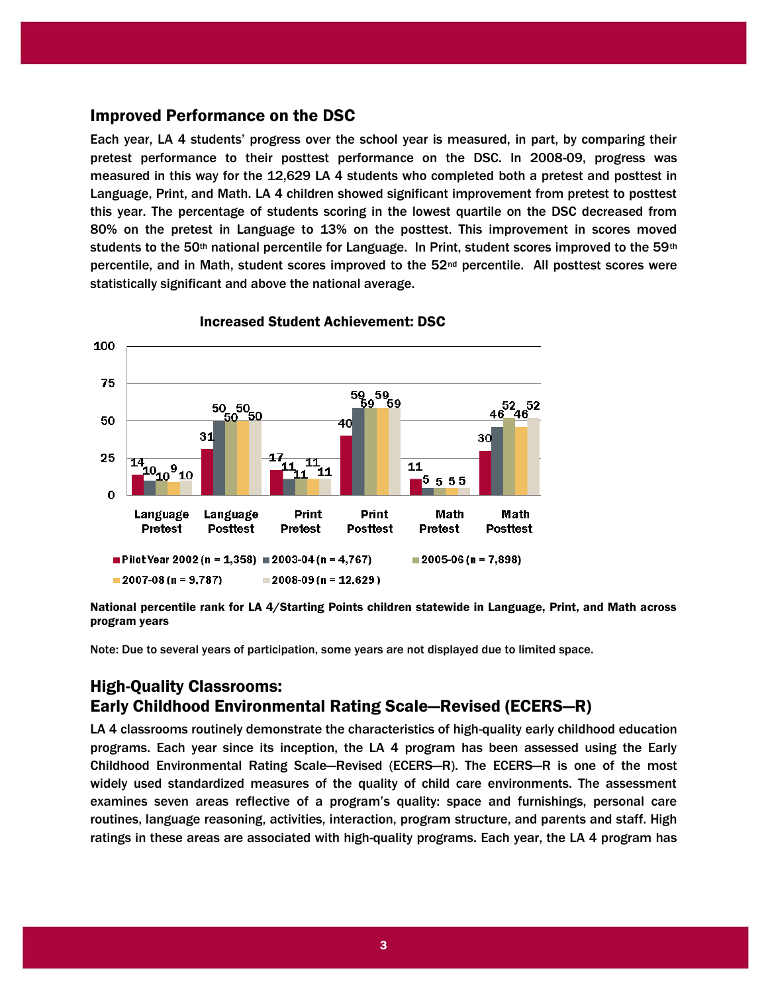### Improved Performance on the DSC

Each year, LA 4 students' progress over the school year is measured, in part, by comparing their pretest performance to their posttest performance on the DSC. In 2008-09, progress was measured in this way for the 12,629 LA 4 students who completed both a pretest and posttest in Language, Print, and Math. LA 4 children showed significant improvement from pretest to posttest this year. The percentage of students scoring in the lowest quartile on the DSC decreased from 80% on the pretest in Language to 13% on the posttest. This improvement in scores moved students to the 50<sup>th</sup> national percentile for Language. In Print, student scores improved to the 59<sup>th</sup> percentile, and in Math, student scores improved to the 52nd percentile. All posttest scores were statistically significant and above the national average.



Increased Student Achievement: DSC

National percentile rank for LA 4/Starting Points children statewide in Language, Print, and Math across program years

Note: Due to several years of participation, some years are not displayed due to limited space.

## High-Quality Classrooms: Early Childhood Environmental Rating Scale—Revised (ECERS—R)

LA 4 classrooms routinely demonstrate the characteristics of high-quality early childhood education programs. Each year since its inception, the LA 4 program has been assessed using the Early Childhood Environmental Rating Scale—Revised (ECERS—R). The ECERS—R is one of the most widely used standardized measures of the quality of child care environments. The assessment examines seven areas reflective of a program's quality: space and furnishings, personal care routines, language reasoning, activities, interaction, program structure, and parents and staff. High ratings in these areas are associated with high-quality programs. Each year, the LA 4 program has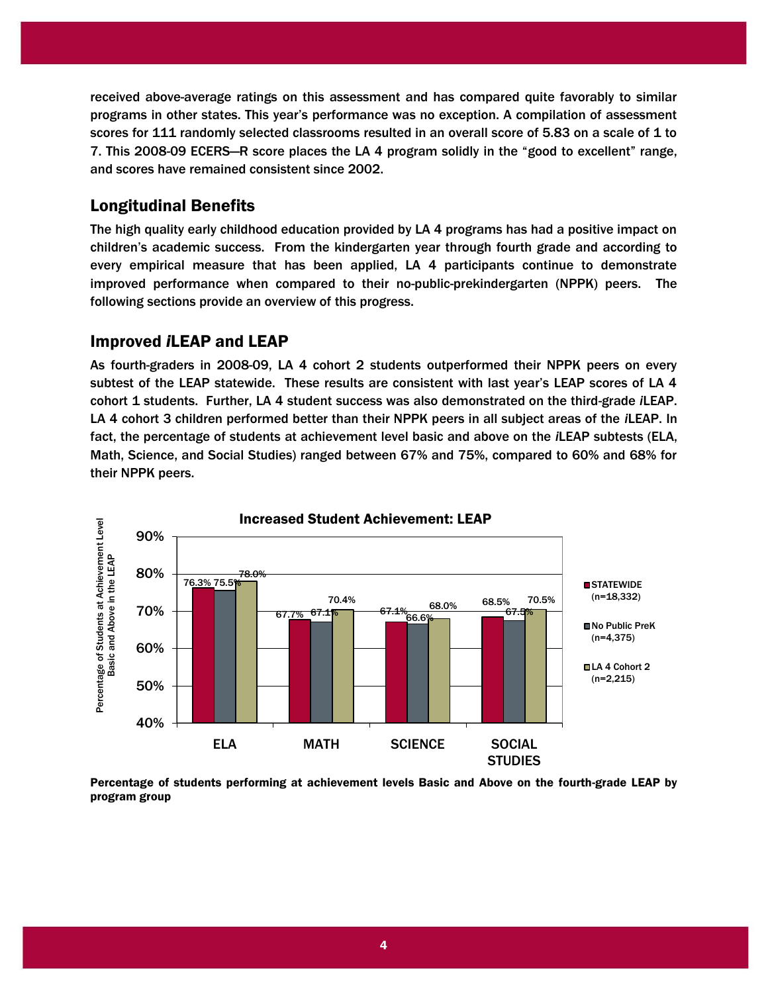received above-average ratings on this assessment and has compared quite favorably to similar programs in other states. This year's performance was no exception. A compilation of assessment scores for 111 randomly selected classrooms resulted in an overall score of 5.83 on a scale of 1 to 7. This 2008-09 ECERS—R score places the LA 4 program solidly in the "good to excellent" range, and scores have remained consistent since 2002.

## Longitudinal Benefits

The high quality early childhood education provided by LA 4 programs has had a positive impact on children's academic success. From the kindergarten year through fourth grade and according to every empirical measure that has been applied, LA 4 participants continue to demonstrate improved performance when compared to their no-public-prekindergarten (NPPK) peers. The following sections provide an overview of this progress.

## Improved *i*LEAP and LEAP

As fourth-graders in 2008-09, LA 4 cohort 2 students outperformed their NPPK peers on every subtest of the LEAP statewide. These results are consistent with last year's LEAP scores of LA 4 cohort 1 students. Further, LA 4 student success was also demonstrated on the third-grade *i*LEAP. LA 4 cohort 3 children performed better than their NPPK peers in all subject areas of the *i*LEAP. In fact, the percentage of students at achievement level basic and above on the *i*LEAP subtests (ELA, Math, Science, and Social Studies) ranged between 67% and 75%, compared to 60% and 68% for their NPPK peers.



Percentage of students performing at achievement levels Basic and Above on the fourth-grade LEAP by program group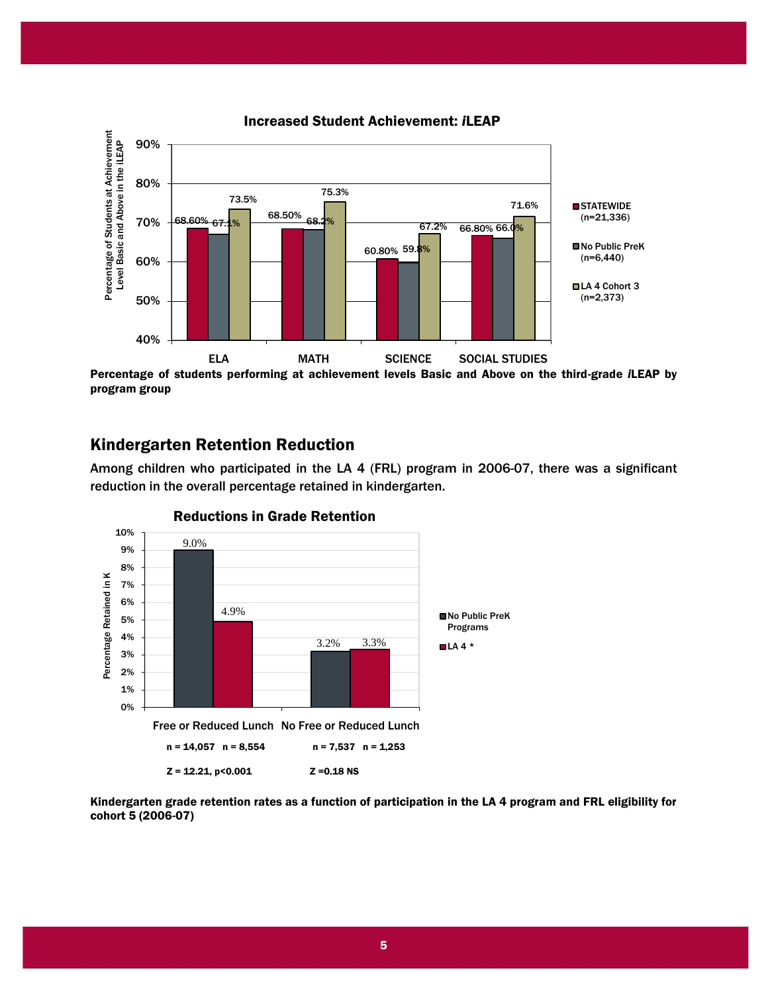

program group

## Kindergarten Retention Reduction

Among children who participated in the LA 4 (FRL) program in 2006-07, there was a significant reduction in the overall percentage retained in kindergarten.



#### Reductions in Grade Retention

Kindergarten grade retention rates as a function of participation in the LA 4 program and FRL eligibility for cohort 5 (2006-07)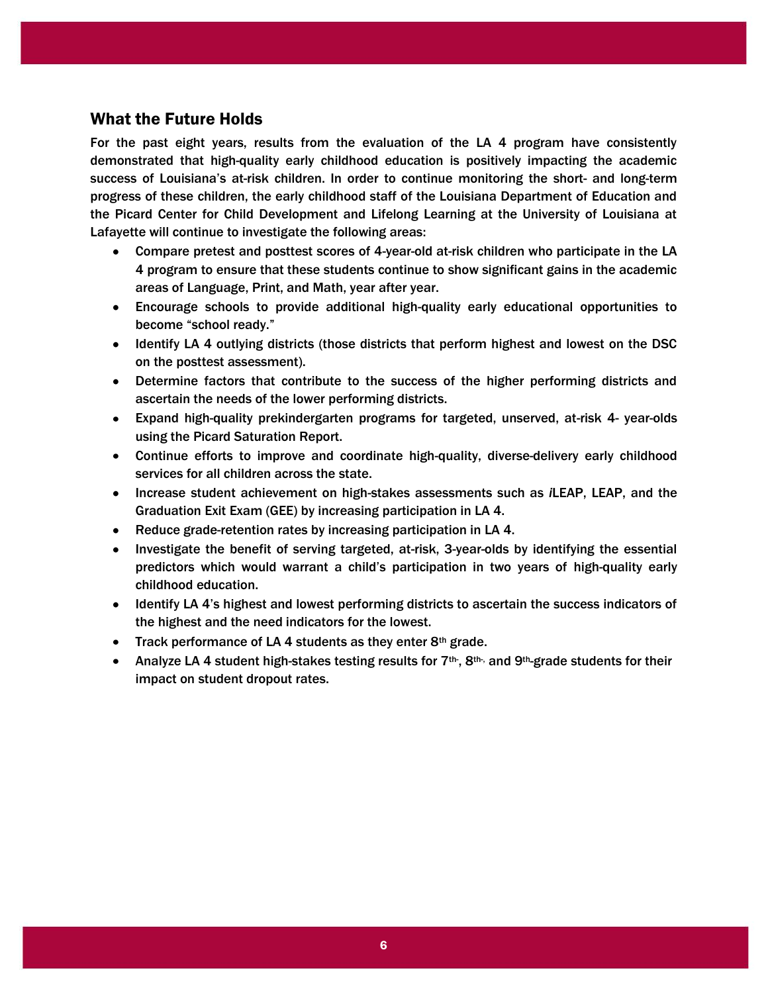## What the Future Holds

For the past eight years, results from the evaluation of the LA 4 program have consistently demonstrated that high-quality early childhood education is positively impacting the academic success of Louisiana's at-risk children. In order to continue monitoring the short- and long-term progress of these children, the early childhood staff of the Louisiana Department of Education and the Picard Center for Child Development and Lifelong Learning at the University of Louisiana at Lafayette will continue to investigate the following areas:

- Compare pretest and posttest scores of 4-year-old at-risk children who participate in the LA 4 program to ensure that these students continue to show significant gains in the academic areas of Language, Print, and Math, year after year.
- Encourage schools to provide additional high-quality early educational opportunities to become "school ready."
- Identify LA 4 outlying districts (those districts that perform highest and lowest on the DSC on the posttest assessment).
- Determine factors that contribute to the success of the higher performing districts and ascertain the needs of the lower performing districts.
- Expand high-quality prekindergarten programs for targeted, unserved, at-risk 4- year-olds using the Picard Saturation Report.
- Continue efforts to improve and coordinate high-quality, diverse-delivery early childhood services for all children across the state.
- Increase student achievement on high-stakes assessments such as *i*LEAP, LEAP, and the Graduation Exit Exam (GEE) by increasing participation in LA 4.
- Reduce grade-retention rates by increasing participation in LA 4.
- Investigate the benefit of serving targeted, at-risk, 3-year-olds by identifying the essential predictors which would warrant a child's participation in two years of high-quality early childhood education.
- Identify LA 4's highest and lowest performing districts to ascertain the success indicators of the highest and the need indicators for the lowest.
- Track performance of LA 4 students as they enter  $8<sup>th</sup>$  grade.
- Analyze LA 4 student high-stakes testing results for 7<sup>th-</sup>, 8<sup>th-,</sup> and 9<sup>th</sup>-grade students for their impact on student dropout rates.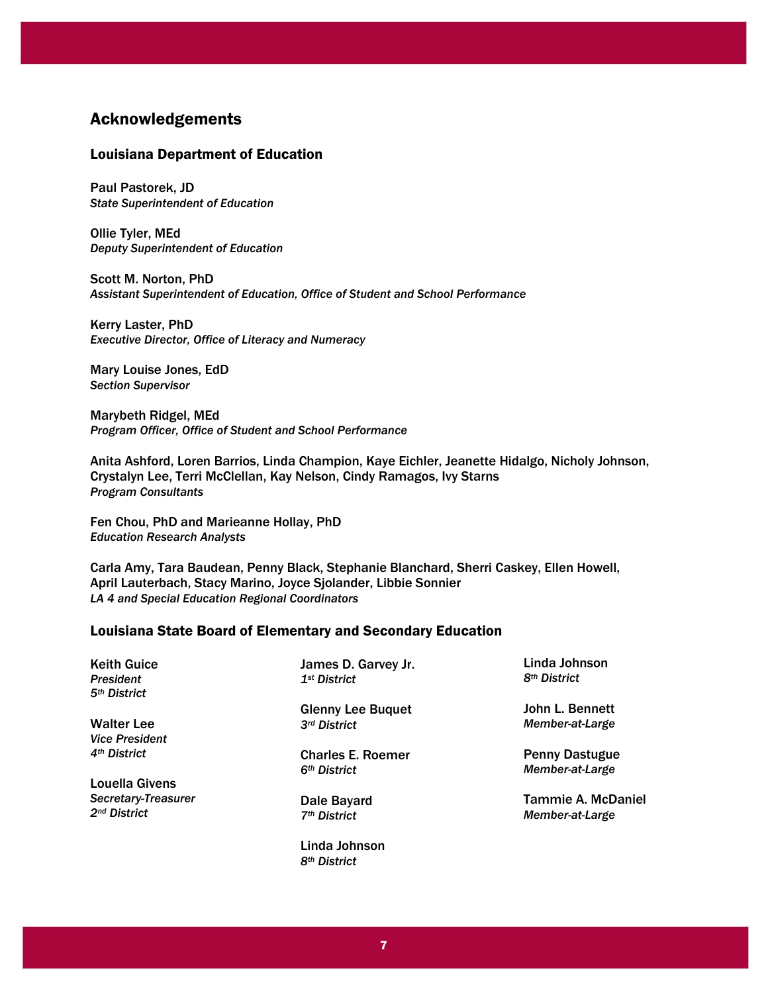## Acknowledgements

#### Louisiana Department of Education

Paul Pastorek, JD *State Superintendent of Education*

Ollie Tyler, MEd *Deputy Superintendent of Education*

Scott M. Norton, PhD *Assistant Superintendent of Education, Office of Student and School Performance*

Kerry Laster, PhD *Executive Director, Office of Literacy and Numeracy*

Mary Louise Jones, EdD *Section Supervisor*

Marybeth Ridgel, MEd *Program Officer, Office of Student and School Performance*

Anita Ashford, Loren Barrios, Linda Champion, Kaye Eichler, Jeanette Hidalgo, Nicholy Johnson, Crystalyn Lee, Terri McClellan, Kay Nelson, Cindy Ramagos, Ivy Starns *Program Consultants* 

Fen Chou, PhD and Marieanne Hollay, PhD *Education Research Analysts*

Carla Amy, Tara Baudean, Penny Black, Stephanie Blanchard, Sherri Caskey, Ellen Howell, April Lauterbach, Stacy Marino, Joyce Sjolander, Libbie Sonnier *LA 4 and Special Education Regional Coordinators* 

#### Louisiana State Board of Elementary and Secondary Education

| <b>Keith Guice</b>       | James D. Garvey Jr.      | Linda Johnson            |
|--------------------------|--------------------------|--------------------------|
| <b>President</b>         | 1 <sup>st</sup> District | 8 <sup>th</sup> District |
| 5 <sup>th</sup> District |                          |                          |
|                          | <b>Glenny Lee Buquet</b> | John L. Bennett          |
| <b>Walter Lee</b>        | 3rd District             | Member-at-Large          |
| <b>Vice President</b>    |                          |                          |
| 4 <sup>th</sup> District | <b>Charles E. Roemer</b> | <b>Penny Dastugue</b>    |
|                          | 6 <sup>th</sup> District | Member-at-Large          |
| <b>Louella Givens</b>    |                          |                          |
| Secretary-Treasurer      | Dale Bayard              | Tammie A. McDaniel       |
| 2 <sup>nd</sup> District | 7 <sup>th</sup> District | Member-at-Large          |
|                          | Linda Johnson            |                          |

*8th District*